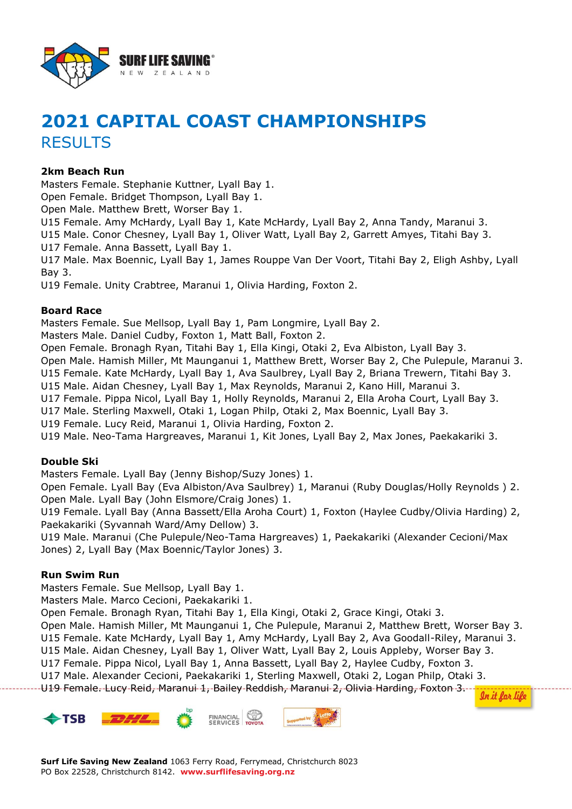

# **2021 CAPITAL COAST CHAMPIONSHIPS RESULTS**

## **2km Beach Run**

Masters Female. Stephanie Kuttner, Lyall Bay 1.

Open Female. Bridget Thompson, Lyall Bay 1.

Open Male. Matthew Brett, Worser Bay 1.

U15 Female. Amy McHardy, Lyall Bay 1, Kate McHardy, Lyall Bay 2, Anna Tandy, Maranui 3.

U15 Male. Conor Chesney, Lyall Bay 1, Oliver Watt, Lyall Bay 2, Garrett Amyes, Titahi Bay 3. U17 Female. Anna Bassett, Lyall Bay 1.

U17 Male. Max Boennic, Lyall Bay 1, James Rouppe Van Der Voort, Titahi Bay 2, Eligh Ashby, Lyall Bay 3.

U19 Female. Unity Crabtree, Maranui 1, Olivia Harding, Foxton 2.

## **Board Race**

Masters Female. Sue Mellsop, Lyall Bay 1, Pam Longmire, Lyall Bay 2.

Masters Male. Daniel Cudby, Foxton 1, Matt Ball, Foxton 2.

Open Female. Bronagh Ryan, Titahi Bay 1, Ella Kingi, Otaki 2, Eva Albiston, Lyall Bay 3.

Open Male. Hamish Miller, Mt Maunganui 1, Matthew Brett, Worser Bay 2, Che Pulepule, Maranui 3. U15 Female. Kate McHardy, Lyall Bay 1, Ava Saulbrey, Lyall Bay 2, Briana Trewern, Titahi Bay 3.

U15 Male. Aidan Chesney, Lyall Bay 1, Max Reynolds, Maranui 2, Kano Hill, Maranui 3.

U17 Female. Pippa Nicol, Lyall Bay 1, Holly Reynolds, Maranui 2, Ella Aroha Court, Lyall Bay 3.

U17 Male. Sterling Maxwell, Otaki 1, Logan Philp, Otaki 2, Max Boennic, Lyall Bay 3.

U19 Female. Lucy Reid, Maranui 1, Olivia Harding, Foxton 2.

U19 Male. Neo-Tama Hargreaves, Maranui 1, Kit Jones, Lyall Bay 2, Max Jones, Paekakariki 3.

## **Double Ski**

Masters Female. Lyall Bay (Jenny Bishop/Suzy Jones) 1.

Open Female. Lyall Bay (Eva Albiston/Ava Saulbrey) 1, Maranui (Ruby Douglas/Holly Reynolds ) 2. Open Male. Lyall Bay (John Elsmore/Craig Jones) 1.

U19 Female. Lyall Bay (Anna Bassett/Ella Aroha Court) 1, Foxton (Haylee Cudby/Olivia Harding) 2, Paekakariki (Syvannah Ward/Amy Dellow) 3.

U19 Male. Maranui (Che Pulepule/Neo-Tama Hargreaves) 1, Paekakariki (Alexander Cecioni/Max Jones) 2, Lyall Bay (Max Boennic/Taylor Jones) 3.

## **Run Swim Run**

Masters Female. Sue Mellsop, Lyall Bay 1.

Masters Male. Marco Cecioni, Paekakariki 1.

Open Female. Bronagh Ryan, Titahi Bay 1, Ella Kingi, Otaki 2, Grace Kingi, Otaki 3. Open Male. Hamish Miller, Mt Maunganui 1, Che Pulepule, Maranui 2, Matthew Brett, Worser Bay 3. U15 Female. Kate McHardy, Lyall Bay 1, Amy McHardy, Lyall Bay 2, Ava Goodall-Riley, Maranui 3. U15 Male. Aidan Chesney, Lyall Bay 1, Oliver Watt, Lyall Bay 2, Louis Appleby, Worser Bay 3. U17 Female. Pippa Nicol, Lyall Bay 1, Anna Bassett, Lyall Bay 2, Haylee Cudby, Foxton 3.

U17 Male. Alexander Cecioni, Paekakariki 1, Sterling Maxwell, Otaki 2, Logan Philp, Otaki 3.

U19 Female. Lucy Reid, Maranui 1, Bailey Reddish, Maranui 2, Olivia Harding, Foxton 3.

In it for life

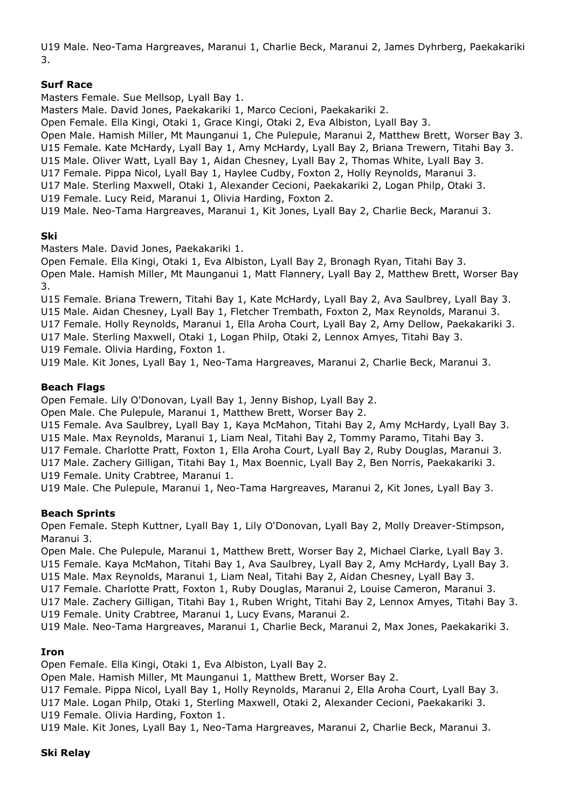U19 Male. Neo-Tama Hargreaves, Maranui 1, Charlie Beck, Maranui 2, James Dyhrberg, Paekakariki 3.

# **Surf Race**

Masters Female. Sue Mellsop, Lyall Bay 1.

Masters Male. David Jones, Paekakariki 1, Marco Cecioni, Paekakariki 2.

Open Female. Ella Kingi, Otaki 1, Grace Kingi, Otaki 2, Eva Albiston, Lyall Bay 3.

Open Male. Hamish Miller, Mt Maunganui 1, Che Pulepule, Maranui 2, Matthew Brett, Worser Bay 3. U15 Female. Kate McHardy, Lyall Bay 1, Amy McHardy, Lyall Bay 2, Briana Trewern, Titahi Bay 3.

U15 Male. Oliver Watt, Lyall Bay 1, Aidan Chesney, Lyall Bay 2, Thomas White, Lyall Bay 3.

U17 Female. Pippa Nicol, Lyall Bay 1, Haylee Cudby, Foxton 2, Holly Reynolds, Maranui 3.

U17 Male. Sterling Maxwell, Otaki 1, Alexander Cecioni, Paekakariki 2, Logan Philp, Otaki 3.

U19 Female. Lucy Reid, Maranui 1, Olivia Harding, Foxton 2.

U19 Male. Neo-Tama Hargreaves, Maranui 1, Kit Jones, Lyall Bay 2, Charlie Beck, Maranui 3.

# **Ski**

Masters Male. David Jones, Paekakariki 1.

Open Female. Ella Kingi, Otaki 1, Eva Albiston, Lyall Bay 2, Bronagh Ryan, Titahi Bay 3. Open Male. Hamish Miller, Mt Maunganui 1, Matt Flannery, Lyall Bay 2, Matthew Brett, Worser Bay 3.

U15 Female. Briana Trewern, Titahi Bay 1, Kate McHardy, Lyall Bay 2, Ava Saulbrey, Lyall Bay 3.

U15 Male. Aidan Chesney, Lyall Bay 1, Fletcher Trembath, Foxton 2, Max Reynolds, Maranui 3.

U17 Female. Holly Reynolds, Maranui 1, Ella Aroha Court, Lyall Bay 2, Amy Dellow, Paekakariki 3.

U17 Male. Sterling Maxwell, Otaki 1, Logan Philp, Otaki 2, Lennox Amyes, Titahi Bay 3.

U19 Female. Olivia Harding, Foxton 1.

U19 Male. Kit Jones, Lyall Bay 1, Neo-Tama Hargreaves, Maranui 2, Charlie Beck, Maranui 3.

## **Beach Flags**

Open Female. Lily O'Donovan, Lyall Bay 1, Jenny Bishop, Lyall Bay 2.

Open Male. Che Pulepule, Maranui 1, Matthew Brett, Worser Bay 2.

U15 Female. Ava Saulbrey, Lyall Bay 1, Kaya McMahon, Titahi Bay 2, Amy McHardy, Lyall Bay 3. U15 Male. Max Reynolds, Maranui 1, Liam Neal, Titahi Bay 2, Tommy Paramo, Titahi Bay 3.

U17 Female. Charlotte Pratt, Foxton 1, Ella Aroha Court, Lyall Bay 2, Ruby Douglas, Maranui 3.

U17 Male. Zachery Gilligan, Titahi Bay 1, Max Boennic, Lyall Bay 2, Ben Norris, Paekakariki 3. U19 Female. Unity Crabtree, Maranui 1.

U19 Male. Che Pulepule, Maranui 1, Neo-Tama Hargreaves, Maranui 2, Kit Jones, Lyall Bay 3.

# **Beach Sprints**

Open Female. Steph Kuttner, Lyall Bay 1, Lily O'Donovan, Lyall Bay 2, Molly Dreaver-Stimpson, Maranui 3.

Open Male. Che Pulepule, Maranui 1, Matthew Brett, Worser Bay 2, Michael Clarke, Lyall Bay 3. U15 Female. Kaya McMahon, Titahi Bay 1, Ava Saulbrey, Lyall Bay 2, Amy McHardy, Lyall Bay 3.

U15 Male. Max Reynolds, Maranui 1, Liam Neal, Titahi Bay 2, Aidan Chesney, Lyall Bay 3.

U17 Female. Charlotte Pratt, Foxton 1, Ruby Douglas, Maranui 2, Louise Cameron, Maranui 3.

U17 Male. Zachery Gilligan, Titahi Bay 1, Ruben Wright, Titahi Bay 2, Lennox Amyes, Titahi Bay 3. U19 Female. Unity Crabtree, Maranui 1, Lucy Evans, Maranui 2.

U19 Male. Neo-Tama Hargreaves, Maranui 1, Charlie Beck, Maranui 2, Max Jones, Paekakariki 3.

# **Iron**

Open Female. Ella Kingi, Otaki 1, Eva Albiston, Lyall Bay 2.

Open Male. Hamish Miller, Mt Maunganui 1, Matthew Brett, Worser Bay 2.

U17 Female. Pippa Nicol, Lyall Bay 1, Holly Reynolds, Maranui 2, Ella Aroha Court, Lyall Bay 3.

U17 Male. Logan Philp, Otaki 1, Sterling Maxwell, Otaki 2, Alexander Cecioni, Paekakariki 3. U19 Female. Olivia Harding, Foxton 1.

U19 Male. Kit Jones, Lyall Bay 1, Neo-Tama Hargreaves, Maranui 2, Charlie Beck, Maranui 3.

## **Ski Relay**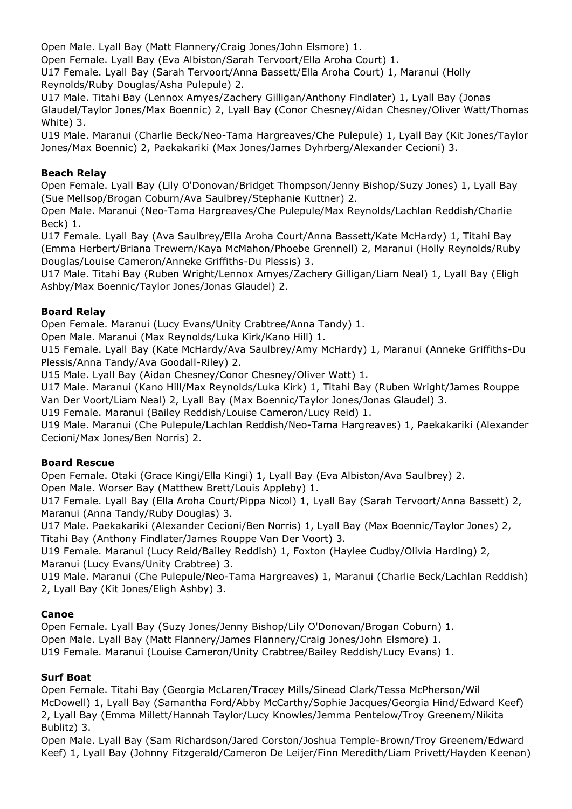Open Male. Lyall Bay (Matt Flannery/Craig Jones/John Elsmore) 1.

Open Female. Lyall Bay (Eva Albiston/Sarah Tervoort/Ella Aroha Court) 1.

U17 Female. Lyall Bay (Sarah Tervoort/Anna Bassett/Ella Aroha Court) 1, Maranui (Holly Reynolds/Ruby Douglas/Asha Pulepule) 2.

U17 Male. Titahi Bay (Lennox Amyes/Zachery Gilligan/Anthony Findlater) 1, Lyall Bay (Jonas Glaudel/Taylor Jones/Max Boennic) 2, Lyall Bay (Conor Chesney/Aidan Chesney/Oliver Watt/Thomas White) 3.

U19 Male. Maranui (Charlie Beck/Neo-Tama Hargreaves/Che Pulepule) 1, Lyall Bay (Kit Jones/Taylor Jones/Max Boennic) 2, Paekakariki (Max Jones/James Dyhrberg/Alexander Cecioni) 3.

# **Beach Relay**

Open Female. Lyall Bay (Lily O'Donovan/Bridget Thompson/Jenny Bishop/Suzy Jones) 1, Lyall Bay (Sue Mellsop/Brogan Coburn/Ava Saulbrey/Stephanie Kuttner) 2.

Open Male. Maranui (Neo-Tama Hargreaves/Che Pulepule/Max Reynolds/Lachlan Reddish/Charlie Beck) 1.

U17 Female. Lyall Bay (Ava Saulbrey/Ella Aroha Court/Anna Bassett/Kate McHardy) 1, Titahi Bay (Emma Herbert/Briana Trewern/Kaya McMahon/Phoebe Grennell) 2, Maranui (Holly Reynolds/Ruby Douglas/Louise Cameron/Anneke Griffiths-Du Plessis) 3.

U17 Male. Titahi Bay (Ruben Wright/Lennox Amyes/Zachery Gilligan/Liam Neal) 1, Lyall Bay (Eligh Ashby/Max Boennic/Taylor Jones/Jonas Glaudel) 2.

# **Board Relay**

Open Female. Maranui (Lucy Evans/Unity Crabtree/Anna Tandy) 1.

Open Male. Maranui (Max Reynolds/Luka Kirk/Kano Hill) 1.

U15 Female. Lyall Bay (Kate McHardy/Ava Saulbrey/Amy McHardy) 1, Maranui (Anneke Griffiths-Du Plessis/Anna Tandy/Ava Goodall-Riley) 2.

U15 Male. Lyall Bay (Aidan Chesney/Conor Chesney/Oliver Watt) 1.

U17 Male. Maranui (Kano Hill/Max Reynolds/Luka Kirk) 1, Titahi Bay (Ruben Wright/James Rouppe Van Der Voort/Liam Neal) 2, Lyall Bay (Max Boennic/Taylor Jones/Jonas Glaudel) 3.

U19 Female. Maranui (Bailey Reddish/Louise Cameron/Lucy Reid) 1.

U19 Male. Maranui (Che Pulepule/Lachlan Reddish/Neo-Tama Hargreaves) 1, Paekakariki (Alexander Cecioni/Max Jones/Ben Norris) 2.

# **Board Rescue**

Open Female. Otaki (Grace Kingi/Ella Kingi) 1, Lyall Bay (Eva Albiston/Ava Saulbrey) 2. Open Male. Worser Bay (Matthew Brett/Louis Appleby) 1.

U17 Female. Lyall Bay (Ella Aroha Court/Pippa Nicol) 1, Lyall Bay (Sarah Tervoort/Anna Bassett) 2, Maranui (Anna Tandy/Ruby Douglas) 3.

U17 Male. Paekakariki (Alexander Cecioni/Ben Norris) 1, Lyall Bay (Max Boennic/Taylor Jones) 2, Titahi Bay (Anthony Findlater/James Rouppe Van Der Voort) 3.

U19 Female. Maranui (Lucy Reid/Bailey Reddish) 1, Foxton (Haylee Cudby/Olivia Harding) 2, Maranui (Lucy Evans/Unity Crabtree) 3.

U19 Male. Maranui (Che Pulepule/Neo-Tama Hargreaves) 1, Maranui (Charlie Beck/Lachlan Reddish) 2, Lyall Bay (Kit Jones/Eligh Ashby) 3.

# **Canoe**

Open Female. Lyall Bay (Suzy Jones/Jenny Bishop/Lily O'Donovan/Brogan Coburn) 1. Open Male. Lyall Bay (Matt Flannery/James Flannery/Craig Jones/John Elsmore) 1. U19 Female. Maranui (Louise Cameron/Unity Crabtree/Bailey Reddish/Lucy Evans) 1.

# **Surf Boat**

Open Female. Titahi Bay (Georgia McLaren/Tracey Mills/Sinead Clark/Tessa McPherson/Wil McDowell) 1, Lyall Bay (Samantha Ford/Abby McCarthy/Sophie Jacques/Georgia Hind/Edward Keef) 2, Lyall Bay (Emma Millett/Hannah Taylor/Lucy Knowles/Jemma Pentelow/Troy Greenem/Nikita Bublitz) 3.

Open Male. Lyall Bay (Sam Richardson/Jared Corston/Joshua Temple-Brown/Troy Greenem/Edward Keef) 1, Lyall Bay (Johnny Fitzgerald/Cameron De Leijer/Finn Meredith/Liam Privett/Hayden Keenan)